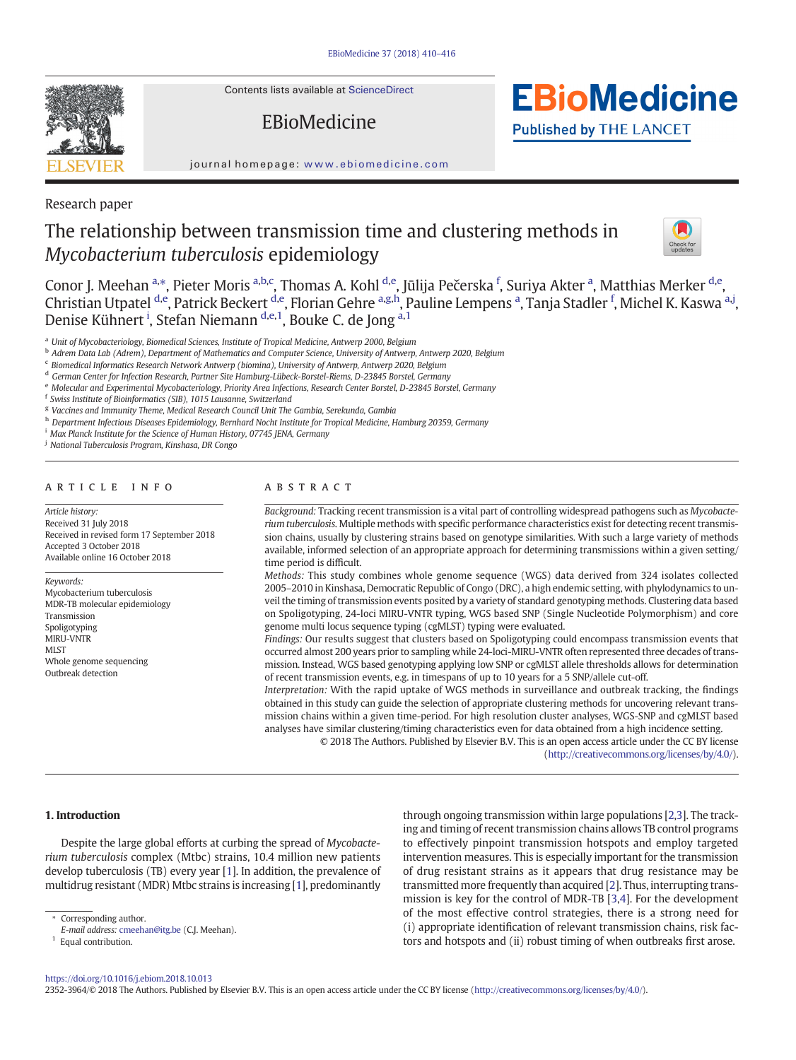Contents lists available at [ScienceDirect](http://www.sciencedirect.com/science/journal/23523964)

# EBioMedicine

**EBioMedicine Published by THE LANCET** 

journal homepage: <www.ebiomedicine.com>

Research paper

# The relationship between transmission time and clustering methods in Mycobacterium tuberculosis epidemiology



Conor J. Meehan a,\*, Pieter Moris a,b,c, Thomas A. Kohl <sup>d,e</sup>, Jūlija Pečerska <sup>f</sup>, Suriya Akter <sup>a</sup>, Matthias Merker <sup>d,e</sup>, Christian Utpatel <sup>d,e</sup>, Patrick Beckert <sup>d,e</sup>, Florian Gehre <sup>a,g,h</sup>, Pauline Lempens <sup>a</sup>, Tanja Stadler <sup>f</sup>, Michel K. Kaswa <sup>a,j</sup>, Denise Kühnert<sup>i</sup>, Stefan Niemann <sup>d,e,1</sup>, Bouke C. de Jong <sup>a,1</sup>

<sup>a</sup> Unit of Mycobacteriology, Biomedical Sciences, Institute of Tropical Medicine, Antwerp 2000, Belgium

- <sup>b</sup> Adrem Data Lab (Adrem), Department of Mathematics and Computer Science, University of Antwerp, Antwerp 2020, Belgium
- <sup>c</sup> Biomedical Informatics Research Network Antwerp (biomina), University of Antwerp, Antwerp 2020, Belgium
- <sup>d</sup> German Center for Infection Research, Partner Site Hamburg-Lübeck-Borstel-Riems, D-23845 Borstel, Germany
- <sup>e</sup> Molecular and Experimental Mycobacteriology, Priority Area Infections, Research Center Borstel, D-23845 Borstel, Germany

<sup>f</sup> Swiss Institute of Bioinformatics (SIB), 1015 Lausanne, Switzerland

<sup>g</sup> Vaccines and Immunity Theme, Medical Research Council Unit The Gambia, Serekunda, Gambia

h Department Infectious Diseases Epidemiology, Bernhard Nocht Institute for Tropical Medicine, Hamburg 20359, Germany

Max Planck Institute for the Science of Human History, 07745 JENA, Germany

<sup>j</sup> National Tuberculosis Program, Kinshasa, DR Congo

# article info abstract

Article history: Received 31 July 2018 Received in revised form 17 September 2018 Accepted 3 October 2018 Available online 16 October 2018

Keywords: Mycobacterium tuberculosis MDR-TB molecular epidemiology Transmission Spoligotyping MIRU-VNTR MLST Whole genome sequencing Outbreak detection

Background: Tracking recent transmission is a vital part of controlling widespread pathogens such as Mycobacterium tuberculosis. Multiple methods with specific performance characteristics exist for detecting recent transmission chains, usually by clustering strains based on genotype similarities. With such a large variety of methods available, informed selection of an appropriate approach for determining transmissions within a given setting/ time period is difficult.

Methods: This study combines whole genome sequence (WGS) data derived from 324 isolates collected 2005–2010 in Kinshasa, Democratic Republic of Congo (DRC), a high endemic setting, with phylodynamics to unveil the timing of transmission events posited by a variety of standard genotyping methods. Clustering data based on Spoligotyping, 24-loci MIRU-VNTR typing, WGS based SNP (Single Nucleotide Polymorphism) and core genome multi locus sequence typing (cgMLST) typing were evaluated.

Findings: Our results suggest that clusters based on Spoligotyping could encompass transmission events that occurred almost 200 years prior to sampling while 24-loci-MIRU-VNTR often represented three decades of transmission. Instead, WGS based genotyping applying low SNP or cgMLST allele thresholds allows for determination of recent transmission events, e.g. in timespans of up to 10 years for a 5 SNP/allele cut-off.

Interpretation: With the rapid uptake of WGS methods in surveillance and outbreak tracking, the findings obtained in this study can guide the selection of appropriate clustering methods for uncovering relevant transmission chains within a given time-period. For high resolution cluster analyses, WGS-SNP and cgMLST based analyses have similar clustering/timing characteristics even for data obtained from a high incidence setting.

© 2018 The Authors. Published by Elsevier B.V. This is an open access article under the CC BY license [\(http://creativecommons.org/licenses/by/4.0/](http://creativecommons.org/licenses/by/4.0/)).

#### 1. Introduction

Despite the large global efforts at curbing the spread of Mycobacterium tuberculosis complex (Mtbc) strains, 10.4 million new patients develop tuberculosis (TB) every year [\[1\]](#page-5-0). In addition, the prevalence of multidrug resistant (MDR) Mtbc strains is increasing [\[1\]](#page-5-0), predominantly

through ongoing transmission within large populations [\[2,3\]](#page-5-0). The tracking and timing of recent transmission chains allows TB control programs to effectively pinpoint transmission hotspots and employ targeted intervention measures. This is especially important for the transmission of drug resistant strains as it appears that drug resistance may be transmitted more frequently than acquired [\[2\]](#page-5-0). Thus, interrupting transmission is key for the control of MDR-TB [\[3](#page-5-0),[4\]](#page-5-0). For the development of the most effective control strategies, there is a strong need for (i) appropriate identification of relevant transmission chains, risk factors and hotspots and (ii) robust timing of when outbreaks first arose.

#### <https://doi.org/10.1016/j.ebiom.2018.10.013>

2352-3964/© 2018 The Authors. Published by Elsevier B.V. This is an open access article under the CC BY license [\(http://creativecommons.org/licenses/by/4.0/\)](http://creativecommons.org/licenses/by/4.0/).

<sup>⁎</sup> Corresponding author.

E-mail address: <cmeehan@itg.be> (C.J. Meehan).

<sup>&</sup>lt;sup>1</sup> Equal contribution.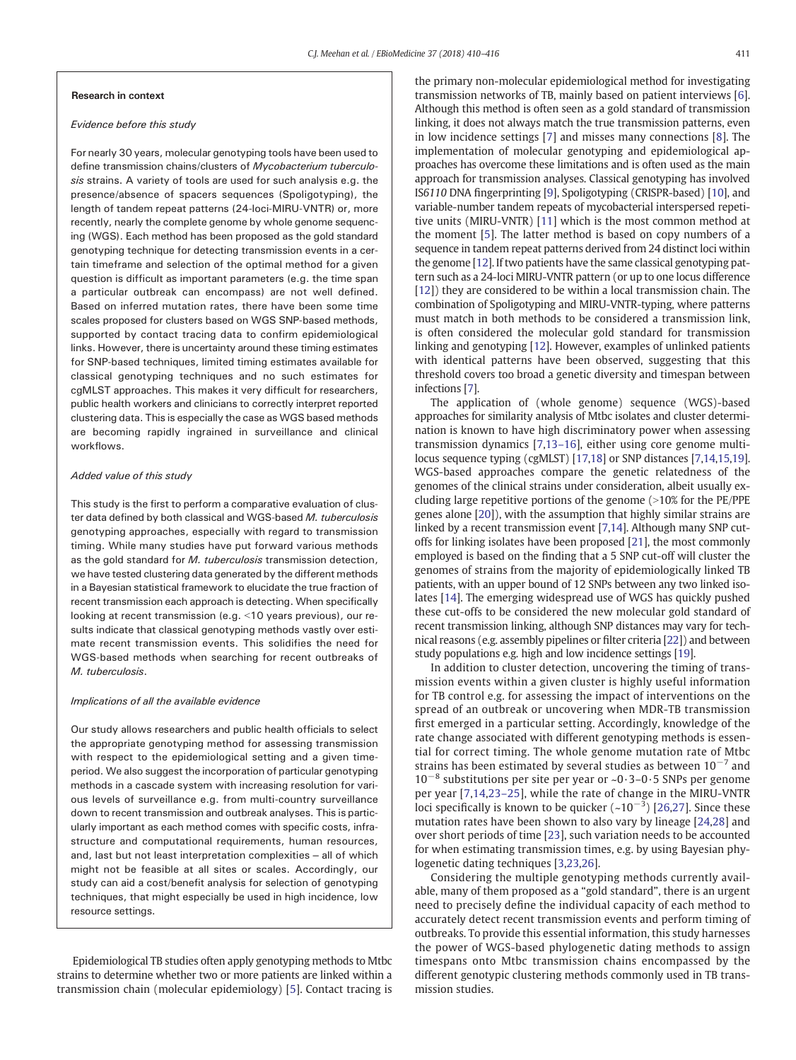#### Research in context

#### Evidence before this study

For nearly 30 years, molecular genotyping tools have been used to define transmission chains/clusters of Mycobacterium tuberculosis strains. A variety of tools are used for such analysis e.g. the presence/absence of spacers sequences (Spoligotyping), the length of tandem repeat patterns (24-loci-MIRU-VNTR) or, more recently, nearly the complete genome by whole genome sequencing (WGS). Each method has been proposed as the gold standard genotyping technique for detecting transmission events in a certain timeframe and selection of the optimal method for a given question is difficult as important parameters (e.g. the time span a particular outbreak can encompass) are not well defined. Based on inferred mutation rates, there have been some time scales proposed for clusters based on WGS SNP-based methods, supported by contact tracing data to confirm epidemiological links. However, there is uncertainty around these timing estimates for SNP-based techniques, limited timing estimates available for classical genotyping techniques and no such estimates for cgMLST approaches. This makes it very difficult for researchers, public health workers and clinicians to correctly interpret reported clustering data. This is especially the case as WGS based methods are becoming rapidly ingrained in surveillance and clinical workflows.

#### Added value of this study

This study is the first to perform a comparative evaluation of cluster data defined by both classical and WGS-based M. tuberculosis genotyping approaches, especially with regard to transmission timing. While many studies have put forward various methods as the gold standard for *M. tuberculosis* transmission detection, we have tested clustering data generated by the different methods in a Bayesian statistical framework to elucidate the true fraction of recent transmission each approach is detecting. When specifically looking at recent transmission (e.g. < 10 years previous), our results indicate that classical genotyping methods vastly over estimate recent transmission events. This solidifies the need for WGS-based methods when searching for recent outbreaks of M. tuberculosis.

#### Implications of all the available evidence

Our study allows researchers and public health officials to select the appropriate genotyping method for assessing transmission with respect to the epidemiological setting and a given timeperiod. We also suggest the incorporation of particular genotyping methods in a cascade system with increasing resolution for various levels of surveillance e.g. from multi-country surveillance down to recent transmission and outbreak analyses. This is particularly important as each method comes with specific costs, infrastructure and computational requirements, human resources, and, last but not least interpretation complexities – all of which might not be feasible at all sites or scales. Accordingly, our study can aid a cost/benefit analysis for selection of genotyping techniques, that might especially be used in high incidence, low resource settings.

Epidemiological TB studies often apply genotyping methods to Mtbc strains to determine whether two or more patients are linked within a transmission chain (molecular epidemiology) [[5\]](#page-5-0). Contact tracing is the primary non-molecular epidemiological method for investigating transmission networks of TB, mainly based on patient interviews [\[6\]](#page-5-0). Although this method is often seen as a gold standard of transmission linking, it does not always match the true transmission patterns, even in low incidence settings [\[7\]](#page-5-0) and misses many connections [\[8\]](#page-5-0). The implementation of molecular genotyping and epidemiological approaches has overcome these limitations and is often used as the main approach for transmission analyses. Classical genotyping has involved IS6110 DNA fingerprinting [[9](#page-5-0)], Spoligotyping (CRISPR-based) [[10](#page-5-0)], and variable-number tandem repeats of mycobacterial interspersed repetitive units (MIRU-VNTR) [[11](#page-5-0)] which is the most common method at the moment [[5](#page-5-0)]. The latter method is based on copy numbers of a sequence in tandem repeat patterns derived from 24 distinct loci within the genome [\[12](#page-5-0)]. If two patients have the same classical genotyping pattern such as a 24-loci MIRU-VNTR pattern (or up to one locus difference [\[12](#page-5-0)]) they are considered to be within a local transmission chain. The combination of Spoligotyping and MIRU-VNTR-typing, where patterns must match in both methods to be considered a transmission link, is often considered the molecular gold standard for transmission linking and genotyping [[12\]](#page-5-0). However, examples of unlinked patients with identical patterns have been observed, suggesting that this threshold covers too broad a genetic diversity and timespan between infections [[7](#page-5-0)].

The application of (whole genome) sequence (WGS)-based approaches for similarity analysis of Mtbc isolates and cluster determination is known to have high discriminatory power when assessing transmission dynamics [[7,13](#page-5-0)–16], either using core genome multilocus sequence typing (cgMLST) [\[17,18\]](#page-6-0) or SNP distances [\[7](#page-5-0)[,14,15](#page-6-0),[19\]](#page-6-0). WGS-based approaches compare the genetic relatedness of the genomes of the clinical strains under consideration, albeit usually excluding large repetitive portions of the genome  $(>10\%)$  for the PE/PPE genes alone [\[20](#page-6-0)]), with the assumption that highly similar strains are linked by a recent transmission event [[7](#page-5-0),[14\]](#page-6-0). Although many SNP cutoffs for linking isolates have been proposed [[21\]](#page-6-0), the most commonly employed is based on the finding that a 5 SNP cut-off will cluster the genomes of strains from the majority of epidemiologically linked TB patients, with an upper bound of 12 SNPs between any two linked isolates [[14\]](#page-6-0). The emerging widespread use of WGS has quickly pushed these cut-offs to be considered the new molecular gold standard of recent transmission linking, although SNP distances may vary for technical reasons (e.g. assembly pipelines or filter criteria [\[22](#page-6-0)]) and between study populations e.g. high and low incidence settings [\[19](#page-6-0)].

In addition to cluster detection, uncovering the timing of transmission events within a given cluster is highly useful information for TB control e.g. for assessing the impact of interventions on the spread of an outbreak or uncovering when MDR-TB transmission first emerged in a particular setting. Accordingly, knowledge of the rate change associated with different genotyping methods is essential for correct timing. The whole genome mutation rate of Mtbc strains has been estimated by several studies as between  $10^{-7}$  and 10−<sup>8</sup> substitutions per site per year or ~0·3–0·5 SNPs per genome per year [\[7](#page-5-0),[14,](#page-6-0)23–[25](#page-6-0)], while the rate of change in the MIRU-VNTR loci specifically is known to be quicker  $(-10^{-3})$  [[26,27\]](#page-6-0). Since these mutation rates have been shown to also vary by lineage [\[24,28\]](#page-6-0) and over short periods of time [\[23](#page-6-0)], such variation needs to be accounted for when estimating transmission times, e.g. by using Bayesian phylogenetic dating techniques [[3](#page-5-0)[,23,26\]](#page-6-0).

Considering the multiple genotyping methods currently available, many of them proposed as a "gold standard", there is an urgent need to precisely define the individual capacity of each method to accurately detect recent transmission events and perform timing of outbreaks. To provide this essential information, this study harnesses the power of WGS-based phylogenetic dating methods to assign timespans onto Mtbc transmission chains encompassed by the different genotypic clustering methods commonly used in TB transmission studies.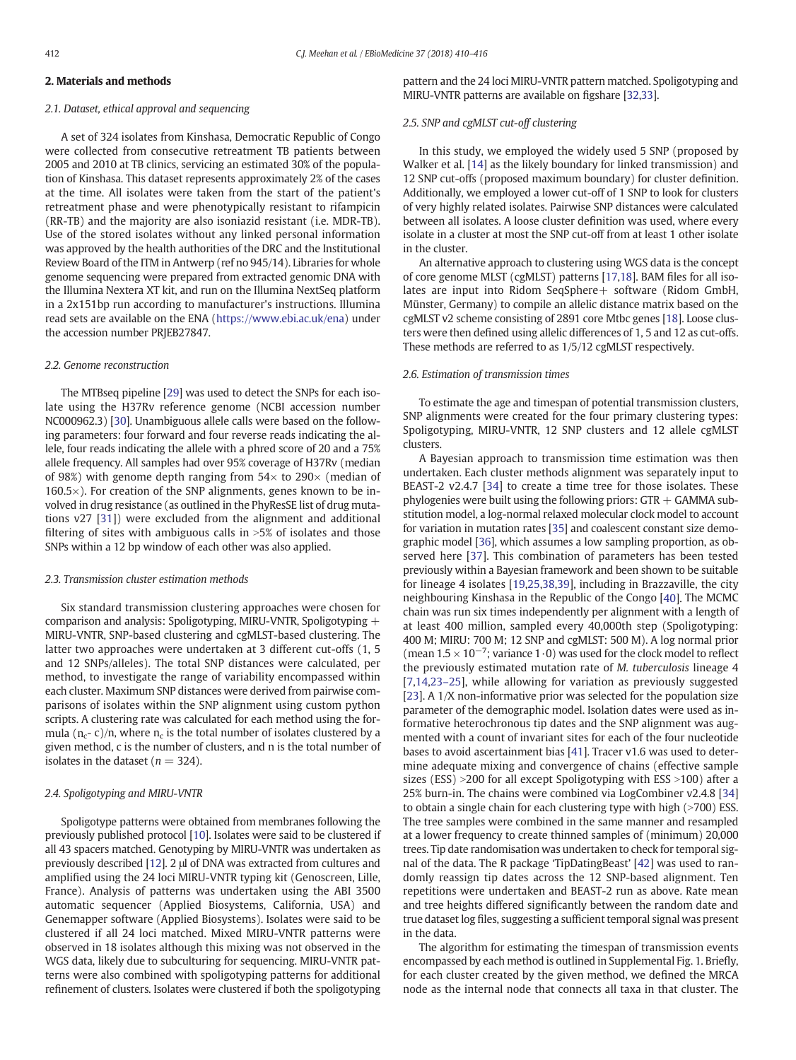# 2. Materials and methods

# 2.1. Dataset, ethical approval and sequencing

A set of 324 isolates from Kinshasa, Democratic Republic of Congo were collected from consecutive retreatment TB patients between 2005 and 2010 at TB clinics, servicing an estimated 30% of the population of Kinshasa. This dataset represents approximately 2% of the cases at the time. All isolates were taken from the start of the patient's retreatment phase and were phenotypically resistant to rifampicin (RR-TB) and the majority are also isoniazid resistant (i.e. MDR-TB). Use of the stored isolates without any linked personal information was approved by the health authorities of the DRC and the Institutional Review Board of the ITM in Antwerp (ref no 945/14). Libraries for whole genome sequencing were prepared from extracted genomic DNA with the Illumina Nextera XT kit, and run on the Illumina NextSeq platform in a 2x151bp run according to manufacturer's instructions. Illumina read sets are available on the ENA ([https://www.ebi.ac.uk/ena\)](https://www.ebi.ac.uk/ena) under the accession number PRJEB27847.

### 2.2. Genome reconstruction

The MTBseq pipeline [\[29\]](#page-6-0) was used to detect the SNPs for each isolate using the H37Rv reference genome (NCBI accession number NC000962.3) [\[30](#page-6-0)]. Unambiguous allele calls were based on the following parameters: four forward and four reverse reads indicating the allele, four reads indicating the allele with a phred score of 20 and a 75% allele frequency. All samples had over 95% coverage of H37Rv (median of 98%) with genome depth ranging from  $54\times$  to 290 $\times$  (median of 160.5×). For creation of the SNP alignments, genes known to be involved in drug resistance (as outlined in the PhyResSE list of drug mutations v27 [\[31](#page-6-0)]) were excluded from the alignment and additional filtering of sites with ambiguous calls in  $>5%$  of isolates and those SNPs within a 12 bp window of each other was also applied.

# 2.3. Transmission cluster estimation methods

Six standard transmission clustering approaches were chosen for comparison and analysis: Spoligotyping, MIRU-VNTR, Spoligotyping  $+$ MIRU-VNTR, SNP-based clustering and cgMLST-based clustering. The latter two approaches were undertaken at 3 different cut-offs (1, 5 and 12 SNPs/alleles). The total SNP distances were calculated, per method, to investigate the range of variability encompassed within each cluster. Maximum SNP distances were derived from pairwise comparisons of isolates within the SNP alignment using custom python scripts. A clustering rate was calculated for each method using the formula ( $n_c$ - c)/n, where  $n_c$  is the total number of isolates clustered by a given method, c is the number of clusters, and n is the total number of isolates in the dataset ( $n = 324$ ).

# 2.4. Spoligotyping and MIRU-VNTR

Spoligotype patterns were obtained from membranes following the previously published protocol [[10](#page-5-0)]. Isolates were said to be clustered if all 43 spacers matched. Genotyping by MIRU-VNTR was undertaken as previously described [[12\]](#page-5-0). 2 μl of DNA was extracted from cultures and amplified using the 24 loci MIRU-VNTR typing kit (Genoscreen, Lille, France). Analysis of patterns was undertaken using the ABI 3500 automatic sequencer (Applied Biosystems, California, USA) and Genemapper software (Applied Biosystems). Isolates were said to be clustered if all 24 loci matched. Mixed MIRU-VNTR patterns were observed in 18 isolates although this mixing was not observed in the WGS data, likely due to subculturing for sequencing. MIRU-VNTR patterns were also combined with spoligotyping patterns for additional refinement of clusters. Isolates were clustered if both the spoligotyping

pattern and the 24 loci MIRU-VNTR pattern matched. Spoligotyping and MIRU-VNTR patterns are available on figshare [\[32,33\]](#page-6-0).

# 2.5. SNP and cgMLST cut-off clustering

In this study, we employed the widely used 5 SNP (proposed by Walker et al. [[14\]](#page-6-0) as the likely boundary for linked transmission) and 12 SNP cut-offs (proposed maximum boundary) for cluster definition. Additionally, we employed a lower cut-off of 1 SNP to look for clusters of very highly related isolates. Pairwise SNP distances were calculated between all isolates. A loose cluster definition was used, where every isolate in a cluster at most the SNP cut-off from at least 1 other isolate in the cluster.

An alternative approach to clustering using WGS data is the concept of core genome MLST (cgMLST) patterns [\[17,18](#page-6-0)]. BAM files for all isolates are input into Ridom SeqSphere+ software (Ridom GmbH, Münster, Germany) to compile an allelic distance matrix based on the cgMLST v2 scheme consisting of 2891 core Mtbc genes [[18](#page-6-0)]. Loose clusters were then defined using allelic differences of 1, 5 and 12 as cut-offs. These methods are referred to as 1/5/12 cgMLST respectively.

#### 2.6. Estimation of transmission times

To estimate the age and timespan of potential transmission clusters, SNP alignments were created for the four primary clustering types: Spoligotyping, MIRU-VNTR, 12 SNP clusters and 12 allele cgMLST clusters.

A Bayesian approach to transmission time estimation was then undertaken. Each cluster methods alignment was separately input to BEAST-2 v2.4.7 [\[34](#page-6-0)] to create a time tree for those isolates. These phylogenies were built using the following priors:  $GTR + GAMMA$  substitution model, a log-normal relaxed molecular clock model to account for variation in mutation rates [\[35](#page-6-0)] and coalescent constant size demographic model [\[36](#page-6-0)], which assumes a low sampling proportion, as observed here [\[37](#page-6-0)]. This combination of parameters has been tested previously within a Bayesian framework and been shown to be suitable for lineage 4 isolates [[19](#page-6-0),[25](#page-6-0),[38,39](#page-6-0)], including in Brazzaville, the city neighbouring Kinshasa in the Republic of the Congo [[40\]](#page-6-0). The MCMC chain was run six times independently per alignment with a length of at least 400 million, sampled every 40,000th step (Spoligotyping: 400 M; MIRU: 700 M; 12 SNP and cgMLST: 500 M). A log normal prior (mean  $1.5 \times 10^{-7}$ ; variance 1 $\cdot$ 0) was used for the clock model to reflect the previously estimated mutation rate of M. tuberculosis lineage 4 [[7](#page-5-0)[,14,23](#page-6-0)–25], while allowing for variation as previously suggested [\[23\]](#page-6-0). A 1/X non-informative prior was selected for the population size parameter of the demographic model. Isolation dates were used as informative heterochronous tip dates and the SNP alignment was augmented with a count of invariant sites for each of the four nucleotide bases to avoid ascertainment bias [[41\]](#page-6-0). Tracer v1.6 was used to determine adequate mixing and convergence of chains (effective sample sizes (ESS)  $>200$  for all except Spoligotyping with ESS  $>100$ ) after a 25% burn-in. The chains were combined via LogCombiner v2.4.8 [[34\]](#page-6-0) to obtain a single chain for each clustering type with high  $(>700)$  ESS. The tree samples were combined in the same manner and resampled at a lower frequency to create thinned samples of (minimum) 20,000 trees. Tip date randomisation was undertaken to check for temporal signal of the data. The R package 'TipDatingBeast' [\[42](#page-6-0)] was used to randomly reassign tip dates across the 12 SNP-based alignment. Ten repetitions were undertaken and BEAST-2 run as above. Rate mean and tree heights differed significantly between the random date and true dataset log files, suggesting a sufficient temporal signal was present in the data.

The algorithm for estimating the timespan of transmission events encompassed by each method is outlined in Supplemental Fig. 1. Briefly, for each cluster created by the given method, we defined the MRCA node as the internal node that connects all taxa in that cluster. The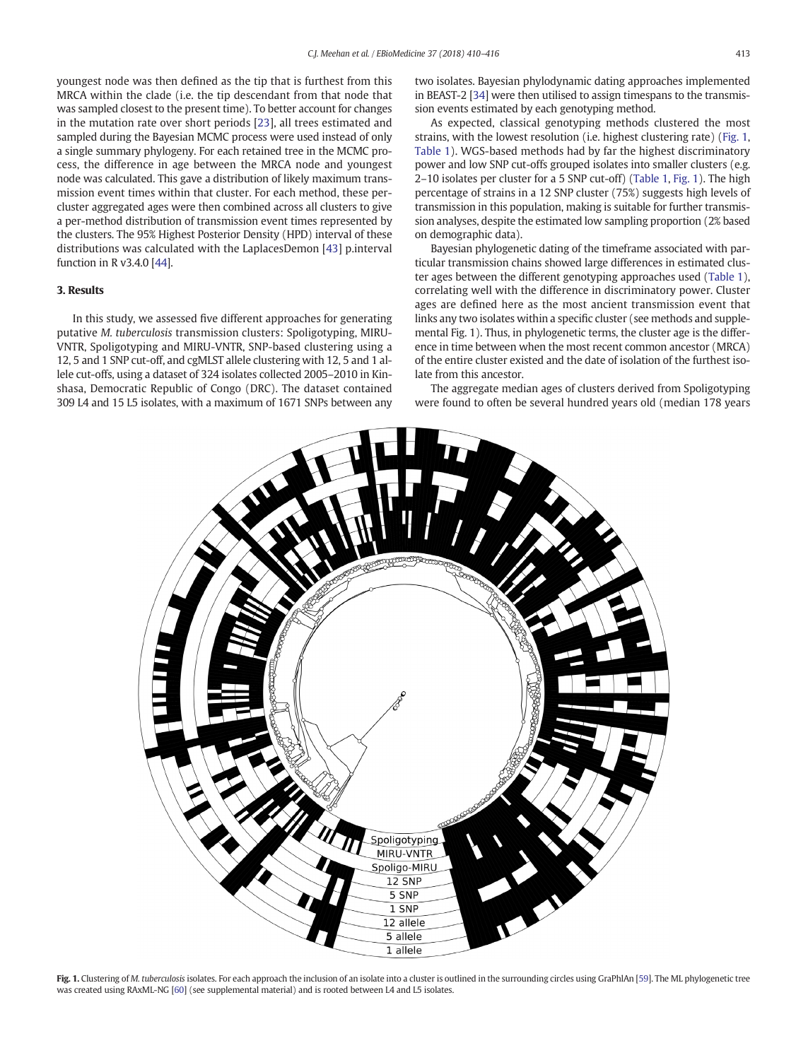youngest node was then defined as the tip that is furthest from this MRCA within the clade (i.e. the tip descendant from that node that was sampled closest to the present time). To better account for changes in the mutation rate over short periods [[23](#page-6-0)], all trees estimated and sampled during the Bayesian MCMC process were used instead of only a single summary phylogeny. For each retained tree in the MCMC process, the difference in age between the MRCA node and youngest node was calculated. This gave a distribution of likely maximum transmission event times within that cluster. For each method, these percluster aggregated ages were then combined across all clusters to give a per-method distribution of transmission event times represented by the clusters. The 95% Highest Posterior Density (HPD) interval of these distributions was calculated with the LaplacesDemon [\[43](#page-6-0)] p.interval function in R v3.4.0 [\[44\]](#page-6-0).

# 3. Results

In this study, we assessed five different approaches for generating putative M. tuberculosis transmission clusters: Spoligotyping, MIRU-VNTR, Spoligotyping and MIRU-VNTR, SNP-based clustering using a 12, 5 and 1 SNP cut-off, and cgMLST allele clustering with 12, 5 and 1 allele cut-offs, using a dataset of 324 isolates collected 2005–2010 in Kinshasa, Democratic Republic of Congo (DRC). The dataset contained 309 L4 and 15 L5 isolates, with a maximum of 1671 SNPs between any two isolates. Bayesian phylodynamic dating approaches implemented in BEAST-2 [\[34](#page-6-0)] were then utilised to assign timespans to the transmission events estimated by each genotyping method.

As expected, classical genotyping methods clustered the most strains, with the lowest resolution (i.e. highest clustering rate) (Fig. 1, [Table 1](#page-4-0)). WGS-based methods had by far the highest discriminatory power and low SNP cut-offs grouped isolates into smaller clusters (e.g. 2–10 isolates per cluster for a 5 SNP cut-off) [\(Table 1](#page-4-0), Fig. 1). The high percentage of strains in a 12 SNP cluster (75%) suggests high levels of transmission in this population, making is suitable for further transmission analyses, despite the estimated low sampling proportion (2% based on demographic data).

Bayesian phylogenetic dating of the timeframe associated with particular transmission chains showed large differences in estimated cluster ages between the different genotyping approaches used [\(Table 1](#page-4-0)), correlating well with the difference in discriminatory power. Cluster ages are defined here as the most ancient transmission event that links any two isolates within a specific cluster (see methods and supplemental Fig. 1). Thus, in phylogenetic terms, the cluster age is the difference in time between when the most recent common ancestor (MRCA) of the entire cluster existed and the date of isolation of the furthest isolate from this ancestor.

The aggregate median ages of clusters derived from Spoligotyping were found to often be several hundred years old (median 178 years



Fig. 1. Clustering of M. tuberculosis isolates. For each approach the inclusion of an isolate into a cluster is outlined in the surrounding circles using GraPhlAn [\[59](#page-6-0)]. The ML phylogenetic tree was created using RAxML-NG [[60\]](#page-6-0) (see supplemental material) and is rooted between L4 and L5 isolates.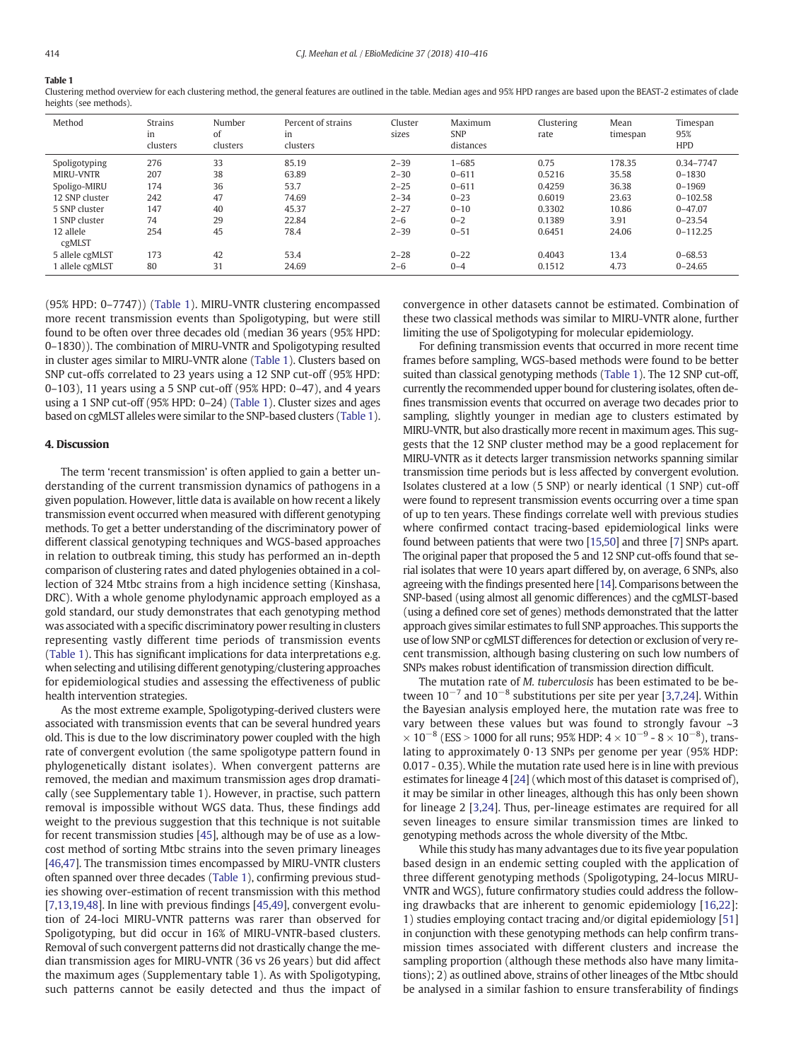<span id="page-4-0"></span>Clustering method overview for each clustering method, the general features are outlined in the table. Median ages and 95% HPD ranges are based upon the BEAST-2 estimates of clade heights (see methods).

| Method              | <b>Strains</b><br>in<br>clusters | Number<br>of<br>clusters | Percent of strains<br>in<br>clusters | Cluster<br>sizes | Maximum<br><b>SNP</b><br>distances | Clustering<br>rate | Mean<br>timespan | Timespan<br>95%<br><b>HPD</b> |
|---------------------|----------------------------------|--------------------------|--------------------------------------|------------------|------------------------------------|--------------------|------------------|-------------------------------|
| Spoligotyping       | 276                              | 33                       | 85.19                                | $2 - 39$         | $1 - 685$                          | 0.75               | 178.35           | 0.34-7747                     |
| <b>MIRU-VNTR</b>    | 207                              | 38                       | 63.89                                | $2 - 30$         | $0 - 611$                          | 0.5216             | 35.58            | $0 - 1830$                    |
| Spoligo-MIRU        | 174                              | 36                       | 53.7                                 | $2 - 25$         | $0 - 611$                          | 0.4259             | 36.38            | $0 - 1969$                    |
| 12 SNP cluster      | 242                              | 47                       | 74.69                                | $2 - 34$         | $0 - 23$                           | 0.6019             | 23.63            | $0 - 102.58$                  |
| 5 SNP cluster       | 147                              | 40                       | 45.37                                | $2 - 27$         | $0 - 10$                           | 0.3302             | 10.86            | $0 - 47.07$                   |
| <b>SNP</b> cluster  | 74                               | 29                       | 22.84                                | $2 - 6$          | $0 - 2$                            | 0.1389             | 3.91             | $0 - 23.54$                   |
| 12 allele<br>cgMLST | 254                              | 45                       | 78.4                                 | $2 - 39$         | $0 - 51$                           | 0.6451             | 24.06            | $0 - 112.25$                  |
| 5 allele cgMLST     | 173                              | 42                       | 53.4                                 | $2 - 28$         | $0 - 22$                           | 0.4043             | 13.4             | $0 - 68.53$                   |
| I allele cgMLST     | 80                               | 31                       | 24.69                                | $2 - 6$          | $0 - 4$                            | 0.1512             | 4.73             | $0 - 24.65$                   |

(95% HPD: 0–7747)) (Table 1). MIRU-VNTR clustering encompassed more recent transmission events than Spoligotyping, but were still found to be often over three decades old (median 36 years (95% HPD: 0–1830)). The combination of MIRU-VNTR and Spoligotyping resulted in cluster ages similar to MIRU-VNTR alone (Table 1). Clusters based on SNP cut-offs correlated to 23 years using a 12 SNP cut-off (95% HPD: 0–103), 11 years using a 5 SNP cut-off (95% HPD: 0–47), and 4 years using a 1 SNP cut-off (95% HPD: 0–24) (Table 1). Cluster sizes and ages based on cgMLST alleles were similar to the SNP-based clusters (Table 1).

#### 4. Discussion

The term 'recent transmission' is often applied to gain a better understanding of the current transmission dynamics of pathogens in a given population. However, little data is available on how recent a likely transmission event occurred when measured with different genotyping methods. To get a better understanding of the discriminatory power of different classical genotyping techniques and WGS-based approaches in relation to outbreak timing, this study has performed an in-depth comparison of clustering rates and dated phylogenies obtained in a collection of 324 Mtbc strains from a high incidence setting (Kinshasa, DRC). With a whole genome phylodynamic approach employed as a gold standard, our study demonstrates that each genotyping method was associated with a specific discriminatory power resulting in clusters representing vastly different time periods of transmission events (Table 1). This has significant implications for data interpretations e.g. when selecting and utilising different genotyping/clustering approaches for epidemiological studies and assessing the effectiveness of public health intervention strategies.

As the most extreme example, Spoligotyping-derived clusters were associated with transmission events that can be several hundred years old. This is due to the low discriminatory power coupled with the high rate of convergent evolution (the same spoligotype pattern found in phylogenetically distant isolates). When convergent patterns are removed, the median and maximum transmission ages drop dramatically (see Supplementary table 1). However, in practise, such pattern removal is impossible without WGS data. Thus, these findings add weight to the previous suggestion that this technique is not suitable for recent transmission studies [[45\]](#page-6-0), although may be of use as a lowcost method of sorting Mtbc strains into the seven primary lineages [[46,47](#page-6-0)]. The transmission times encompassed by MIRU-VNTR clusters often spanned over three decades (Table 1), confirming previous studies showing over-estimation of recent transmission with this method [[7](#page-5-0),[13,](#page-5-0)[19,48\]](#page-6-0). In line with previous findings [\[45,49](#page-6-0)], convergent evolution of 24-loci MIRU-VNTR patterns was rarer than observed for Spoligotyping, but did occur in 16% of MIRU-VNTR-based clusters. Removal of such convergent patterns did not drastically change the median transmission ages for MIRU-VNTR (36 vs 26 years) but did affect the maximum ages (Supplementary table 1). As with Spoligotyping, such patterns cannot be easily detected and thus the impact of convergence in other datasets cannot be estimated. Combination of these two classical methods was similar to MIRU-VNTR alone, further limiting the use of Spoligotyping for molecular epidemiology.

For defining transmission events that occurred in more recent time frames before sampling, WGS-based methods were found to be better suited than classical genotyping methods (Table 1). The 12 SNP cut-off, currently the recommended upper bound for clustering isolates, often defines transmission events that occurred on average two decades prior to sampling, slightly younger in median age to clusters estimated by MIRU-VNTR, but also drastically more recent in maximum ages. This suggests that the 12 SNP cluster method may be a good replacement for MIRU-VNTR as it detects larger transmission networks spanning similar transmission time periods but is less affected by convergent evolution. Isolates clustered at a low (5 SNP) or nearly identical (1 SNP) cut-off were found to represent transmission events occurring over a time span of up to ten years. These findings correlate well with previous studies where confirmed contact tracing-based epidemiological links were found between patients that were two [[15,50\]](#page-6-0) and three [\[7\]](#page-5-0) SNPs apart. The original paper that proposed the 5 and 12 SNP cut-offs found that serial isolates that were 10 years apart differed by, on average, 6 SNPs, also agreeing with the findings presented here [[14](#page-6-0)]. Comparisons between the SNP-based (using almost all genomic differences) and the cgMLST-based (using a defined core set of genes) methods demonstrated that the latter approach gives similar estimates to full SNP approaches. This supports the use of low SNP or cgMLST differences for detection or exclusion of very recent transmission, although basing clustering on such low numbers of SNPs makes robust identification of transmission direction difficult.

The mutation rate of M. tuberculosis has been estimated to be between  $10^{-7}$  and  $10^{-8}$  substitutions per site per year [\[3,7](#page-5-0)[,24](#page-6-0)]. Within the Bayesian analysis employed here, the mutation rate was free to vary between these values but was found to strongly favour  $\sim$ 3  $\times$  10<sup>-8</sup> (ESS > 1000 for all runs; 95% HDP: 4  $\times$  10<sup>-9</sup> - 8  $\times$  10<sup>-8</sup>), translating to approximately 0·13 SNPs per genome per year (95% HDP: 0.017 - 0.35). While the mutation rate used here is in line with previous estimates for lineage 4 [[24\]](#page-6-0) (which most of this dataset is comprised of), it may be similar in other lineages, although this has only been shown for lineage 2 [\[3,](#page-5-0)[24\]](#page-6-0). Thus, per-lineage estimates are required for all seven lineages to ensure similar transmission times are linked to genotyping methods across the whole diversity of the Mtbc.

While this study has many advantages due to its five year population based design in an endemic setting coupled with the application of three different genotyping methods (Spoligotyping, 24-locus MIRU-VNTR and WGS), future confirmatory studies could address the following drawbacks that are inherent to genomic epidemiology [[16](#page-6-0),[22](#page-6-0)]: 1) studies employing contact tracing and/or digital epidemiology [[51\]](#page-6-0) in conjunction with these genotyping methods can help confirm transmission times associated with different clusters and increase the sampling proportion (although these methods also have many limitations); 2) as outlined above, strains of other lineages of the Mtbc should be analysed in a similar fashion to ensure transferability of findings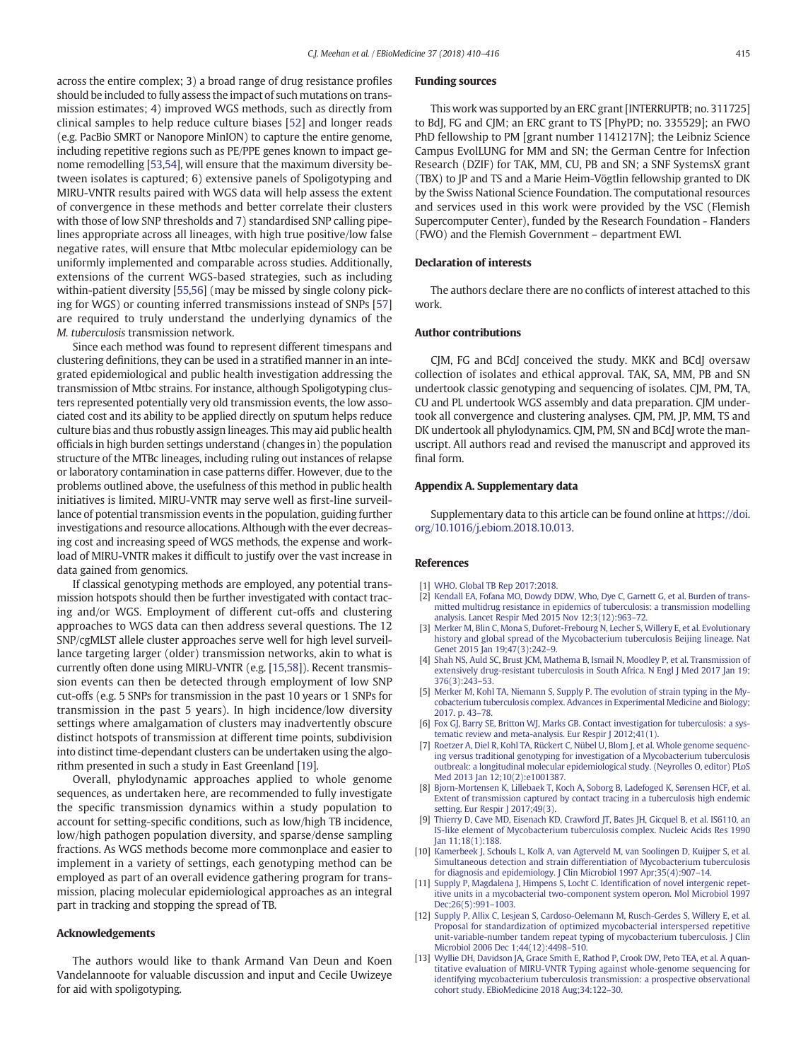<span id="page-5-0"></span>across the entire complex; 3) a broad range of drug resistance profiles should be included to fully assess the impact of such mutations on transmission estimates; 4) improved WGS methods, such as directly from clinical samples to help reduce culture biases [[52\]](#page-6-0) and longer reads (e.g. PacBio SMRT or Nanopore MinION) to capture the entire genome, including repetitive regions such as PE/PPE genes known to impact genome remodelling [[53,54](#page-6-0)], will ensure that the maximum diversity between isolates is captured; 6) extensive panels of Spoligotyping and MIRU-VNTR results paired with WGS data will help assess the extent of convergence in these methods and better correlate their clusters with those of low SNP thresholds and 7) standardised SNP calling pipelines appropriate across all lineages, with high true positive/low false negative rates, will ensure that Mtbc molecular epidemiology can be uniformly implemented and comparable across studies. Additionally, extensions of the current WGS-based strategies, such as including within-patient diversity [\[55,56](#page-6-0)] (may be missed by single colony picking for WGS) or counting inferred transmissions instead of SNPs [[57\]](#page-6-0) are required to truly understand the underlying dynamics of the M. tuberculosis transmission network.

Since each method was found to represent different timespans and clustering definitions, they can be used in a stratified manner in an integrated epidemiological and public health investigation addressing the transmission of Mtbc strains. For instance, although Spoligotyping clusters represented potentially very old transmission events, the low associated cost and its ability to be applied directly on sputum helps reduce culture bias and thus robustly assign lineages. This may aid public health officials in high burden settings understand (changes in) the population structure of the MTBc lineages, including ruling out instances of relapse or laboratory contamination in case patterns differ. However, due to the problems outlined above, the usefulness of this method in public health initiatives is limited. MIRU-VNTR may serve well as first-line surveillance of potential transmission events in the population, guiding further investigations and resource allocations. Although with the ever decreasing cost and increasing speed of WGS methods, the expense and workload of MIRU-VNTR makes it difficult to justify over the vast increase in data gained from genomics.

If classical genotyping methods are employed, any potential transmission hotspots should then be further investigated with contact tracing and/or WGS. Employment of different cut-offs and clustering approaches to WGS data can then address several questions. The 12 SNP/cgMLST allele cluster approaches serve well for high level surveillance targeting larger (older) transmission networks, akin to what is currently often done using MIRU-VNTR (e.g. [\[15,58](#page-6-0)]). Recent transmission events can then be detected through employment of low SNP cut-offs (e.g. 5 SNPs for transmission in the past 10 years or 1 SNPs for transmission in the past 5 years). In high incidence/low diversity settings where amalgamation of clusters may inadvertently obscure distinct hotspots of transmission at different time points, subdivision into distinct time-dependant clusters can be undertaken using the algorithm presented in such a study in East Greenland [\[19](#page-6-0)].

Overall, phylodynamic approaches applied to whole genome sequences, as undertaken here, are recommended to fully investigate the specific transmission dynamics within a study population to account for setting-specific conditions, such as low/high TB incidence, low/high pathogen population diversity, and sparse/dense sampling fractions. As WGS methods become more commonplace and easier to implement in a variety of settings, each genotyping method can be employed as part of an overall evidence gathering program for transmission, placing molecular epidemiological approaches as an integral part in tracking and stopping the spread of TB.

#### Acknowledgements

The authors would like to thank Armand Van Deun and Koen Vandelannoote for valuable discussion and input and Cecile Uwizeye for aid with spoligotyping.

#### Funding sources

This work was supported by an ERC grant [INTERRUPTB; no. 311725] to BdJ, FG and CJM; an ERC grant to TS [PhyPD; no. 335529]; an FWO PhD fellowship to PM [grant number 1141217N]; the Leibniz Science Campus EvolLUNG for MM and SN; the German Centre for Infection Research (DZIF) for TAK, MM, CU, PB and SN; a SNF SystemsX grant (TBX) to JP and TS and a Marie Heim-Vögtlin fellowship granted to DK by the Swiss National Science Foundation. The computational resources and services used in this work were provided by the VSC (Flemish Supercomputer Center), funded by the Research Foundation - Flanders (FWO) and the Flemish Government – department EWI.

# Declaration of interests

The authors declare there are no conflicts of interest attached to this work.

#### Author contributions

CJM, FG and BCdJ conceived the study. MKK and BCdJ oversaw collection of isolates and ethical approval. TAK, SA, MM, PB and SN undertook classic genotyping and sequencing of isolates. CJM, PM, TA, CU and PL undertook WGS assembly and data preparation. CJM undertook all convergence and clustering analyses. CJM, PM, JP, MM, TS and DK undertook all phylodynamics. CJM, PM, SN and BCdJ wrote the manuscript. All authors read and revised the manuscript and approved its final form.

### Appendix A. Supplementary data

Supplementary data to this article can be found online at [https://doi.](https://doi.org/10.1016/j.ebiom.2018.10.013) [org/10.1016/j.ebiom.2018.10.013.](https://doi.org/10.1016/j.ebiom.2018.10.013)

#### References

- [1] [WHO. Global TB Rep 2017:2018.](http://refhub.elsevier.com/S2352-3964(18)30424-9/rf0005)
- [2] [Kendall EA, Fofana MO, Dowdy DDW, Who, Dye C, Garnett G, et al. Burden of trans](http://refhub.elsevier.com/S2352-3964(18)30424-9/rf0010)[mitted multidrug resistance in epidemics of tuberculosis: a transmission modelling](http://refhub.elsevier.com/S2352-3964(18)30424-9/rf0010) [analysis. Lancet Respir Med 2015 Nov 12;3\(12\):963](http://refhub.elsevier.com/S2352-3964(18)30424-9/rf0010)–72.
- [3] [Merker M, Blin C, Mona S, Duforet-Frebourg N, Lecher S, Willery E, et al. Evolutionary](http://refhub.elsevier.com/S2352-3964(18)30424-9/rf0015) [history and global spread of the Mycobacterium tuberculosis Beijing lineage. Nat](http://refhub.elsevier.com/S2352-3964(18)30424-9/rf0015) [Genet 2015 Jan 19;47\(3\):242](http://refhub.elsevier.com/S2352-3964(18)30424-9/rf0015)-9.
- [4] [Shah NS, Auld SC, Brust JCM, Mathema B, Ismail N, Moodley P, et al. Transmission of](http://refhub.elsevier.com/S2352-3964(18)30424-9/rf0020) [extensively drug-resistant tuberculosis in South Africa. N Engl J Med 2017 Jan 19;](http://refhub.elsevier.com/S2352-3964(18)30424-9/rf0020) [376\(3\):243](http://refhub.elsevier.com/S2352-3964(18)30424-9/rf0020)–53.
- [5] [Merker M, Kohl TA, Niemann S, Supply P. The evolution of strain typing in the My](http://refhub.elsevier.com/S2352-3964(18)30424-9/rf0025)[cobacterium tuberculosis complex. Advances in Experimental Medicine and Biology;](http://refhub.elsevier.com/S2352-3964(18)30424-9/rf0025) [2017. p. 43](http://refhub.elsevier.com/S2352-3964(18)30424-9/rf0025)–78.
- [6] [Fox GJ, Barry SE, Britton WJ, Marks GB. Contact investigation for tuberculosis: a sys](http://refhub.elsevier.com/S2352-3964(18)30424-9/rf0030)[tematic review and meta-analysis. Eur Respir J 2012;41\(1\).](http://refhub.elsevier.com/S2352-3964(18)30424-9/rf0030)
- [7] [Roetzer A, Diel R, Kohl TA, Rückert C, Nübel U, Blom J, et al. Whole genome sequenc](http://refhub.elsevier.com/S2352-3964(18)30424-9/rf0035)[ing versus traditional genotyping for investigation of a Mycobacterium tuberculosis](http://refhub.elsevier.com/S2352-3964(18)30424-9/rf0035) [outbreak: a longitudinal molecular epidemiological study. \(Neyrolles O, editor\) PLoS](http://refhub.elsevier.com/S2352-3964(18)30424-9/rf0035) [Med 2013 Jan 12;10\(2\):e1001387.](http://refhub.elsevier.com/S2352-3964(18)30424-9/rf0035)
- [8] [Bjorn-Mortensen K, Lillebaek T, Koch A, Soborg B, Ladefoged K, Sørensen HCF, et al.](http://refhub.elsevier.com/S2352-3964(18)30424-9/rf0040) [Extent of transmission captured by contact tracing in a tuberculosis high endemic](http://refhub.elsevier.com/S2352-3964(18)30424-9/rf0040) [setting. Eur Respir J 2017;49\(3\).](http://refhub.elsevier.com/S2352-3964(18)30424-9/rf0040)
- [9] [Thierry D, Cave MD, Eisenach KD, Crawford JT, Bates JH, Gicquel B, et al. IS6110, an](http://refhub.elsevier.com/S2352-3964(18)30424-9/rf0045) [IS-like element of Mycobacterium tuberculosis complex. Nucleic Acids Res 1990](http://refhub.elsevier.com/S2352-3964(18)30424-9/rf0045) [Jan 11;18\(1\):188.](http://refhub.elsevier.com/S2352-3964(18)30424-9/rf0045)
- [10] [Kamerbeek J, Schouls L, Kolk A, van Agterveld M, van Soolingen D, Kuijper S, et al.](http://refhub.elsevier.com/S2352-3964(18)30424-9/rf0050) [Simultaneous detection and strain differentiation of Mycobacterium tuberculosis](http://refhub.elsevier.com/S2352-3964(18)30424-9/rf0050) [for diagnosis and epidemiology. J Clin Microbiol 1997 Apr;35\(4\):907](http://refhub.elsevier.com/S2352-3964(18)30424-9/rf0050)–14.
- [11] [Supply P, Magdalena J, Himpens S, Locht C. Identi](http://refhub.elsevier.com/S2352-3964(18)30424-9/rf0055)fication of novel intergenic repet[itive units in a mycobacterial two-component system operon. Mol Microbiol 1997](http://refhub.elsevier.com/S2352-3964(18)30424-9/rf0055) [Dec;26\(5\):991](http://refhub.elsevier.com/S2352-3964(18)30424-9/rf0055)–1003.
- [12] [Supply P, Allix C, Lesjean S, Cardoso-Oelemann M, Rusch-Gerdes S, Willery E, et al.](http://refhub.elsevier.com/S2352-3964(18)30424-9/rf0060) [Proposal for standardization of optimized mycobacterial interspersed repetitive](http://refhub.elsevier.com/S2352-3964(18)30424-9/rf0060) [unit-variable-number tandem repeat typing of mycobacterium tuberculosis. J Clin](http://refhub.elsevier.com/S2352-3964(18)30424-9/rf0060) [Microbiol 2006 Dec 1;44\(12\):4498](http://refhub.elsevier.com/S2352-3964(18)30424-9/rf0060)–510.
- [13] [Wyllie DH, Davidson JA, Grace Smith E, Rathod P, Crook DW, Peto TEA, et al. A quan](http://refhub.elsevier.com/S2352-3964(18)30424-9/rf0065)[titative evaluation of MIRU-VNTR Typing against whole-genome sequencing for](http://refhub.elsevier.com/S2352-3964(18)30424-9/rf0065) [identifying mycobacterium tuberculosis transmission: a prospective observational](http://refhub.elsevier.com/S2352-3964(18)30424-9/rf0065) [cohort study. EBioMedicine 2018 Aug;34:122](http://refhub.elsevier.com/S2352-3964(18)30424-9/rf0065)–30.